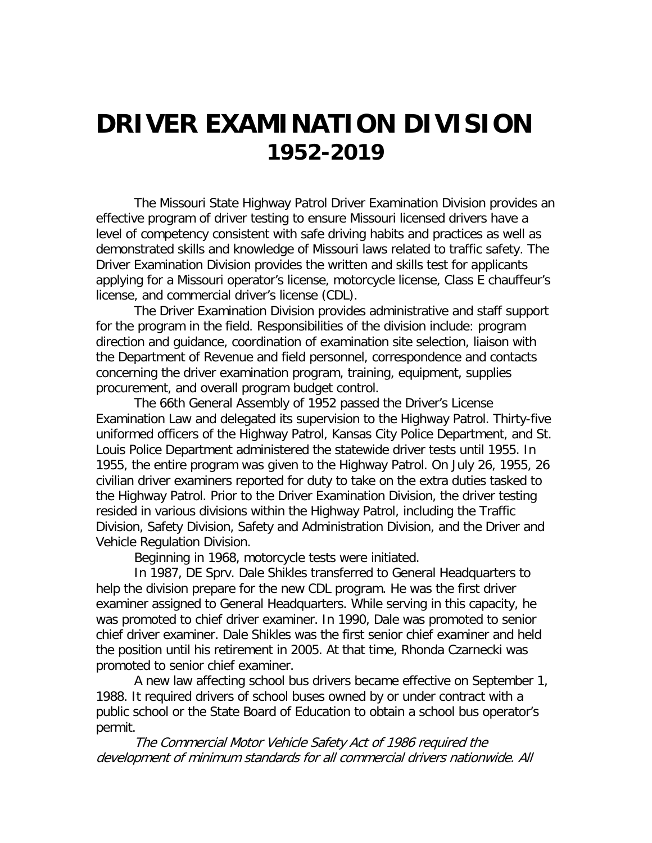## **DRIVER EXAMINATION DIVISION 1952-2019**

The Missouri State Highway Patrol Driver Examination Division provides an effective program of driver testing to ensure Missouri licensed drivers have a level of competency consistent with safe driving habits and practices as well as demonstrated skills and knowledge of Missouri laws related to traffic safety. The Driver Examination Division provides the written and skills test for applicants applying for a Missouri operator's license, motorcycle license, Class E chauffeur's license, and commercial driver's license (CDL).

The Driver Examination Division provides administrative and staff support for the program in the field. Responsibilities of the division include: program direction and guidance, coordination of examination site selection, liaison with the Department of Revenue and field personnel, correspondence and contacts concerning the driver examination program, training, equipment, supplies procurement, and overall program budget control.

The 66th General Assembly of 1952 passed the Driver's License Examination Law and delegated its supervision to the Highway Patrol. Thirty-five uniformed officers of the Highway Patrol, Kansas City Police Department, and St. Louis Police Department administered the statewide driver tests until 1955. In 1955, the entire program was given to the Highway Patrol. On July 26, 1955, 26 civilian driver examiners reported for duty to take on the extra duties tasked to the Highway Patrol. Prior to the Driver Examination Division, the driver testing resided in various divisions within the Highway Patrol, including the Traffic Division, Safety Division, Safety and Administration Division, and the Driver and Vehicle Regulation Division.

Beginning in 1968, motorcycle tests were initiated.

In 1987, DE Sprv. Dale Shikles transferred to General Headquarters to help the division prepare for the new CDL program. He was the first driver examiner assigned to General Headquarters. While serving in this capacity, he was promoted to chief driver examiner. In 1990, Dale was promoted to senior chief driver examiner. Dale Shikles was the first senior chief examiner and held the position until his retirement in 2005. At that time, Rhonda Czarnecki was promoted to senior chief examiner.

A new law affecting school bus drivers became effective on September 1, 1988. It required drivers of school buses owned by or under contract with a public school or the State Board of Education to obtain a school bus operator's permit.

The Commercial Motor Vehicle Safety Act of 1986 required the development of minimum standards for all commercial drivers nationwide. All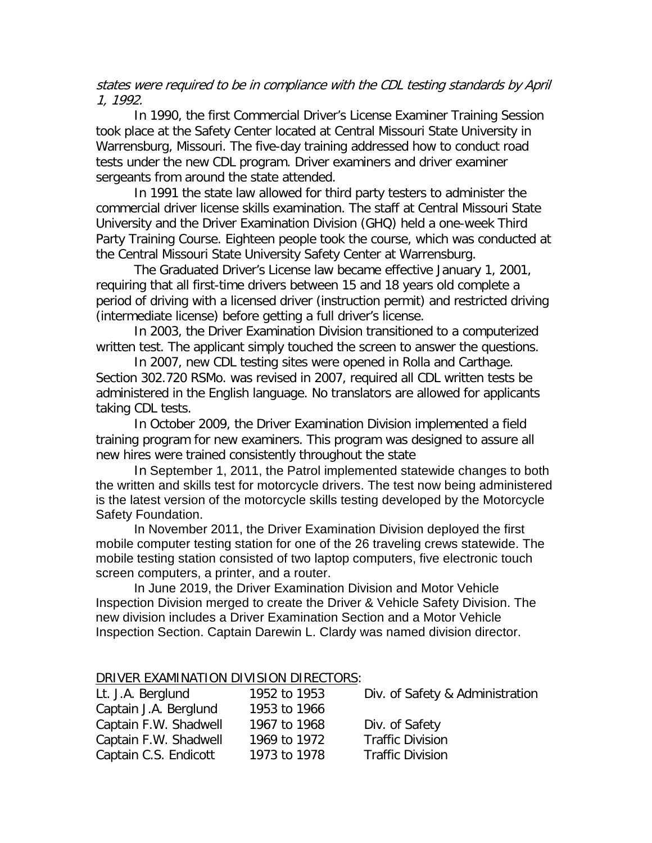states were required to be in compliance with the CDL testing standards by April 1, 1992.

In 1990, the first Commercial Driver's License Examiner Training Session took place at the Safety Center located at Central Missouri State University in Warrensburg, Missouri. The five-day training addressed how to conduct road tests under the new CDL program. Driver examiners and driver examiner sergeants from around the state attended.

In 1991 the state law allowed for third party testers to administer the commercial driver license skills examination. The staff at Central Missouri State University and the Driver Examination Division (GHQ) held a one-week Third Party Training Course. Eighteen people took the course, which was conducted at the Central Missouri State University Safety Center at Warrensburg.

The Graduated Driver's License law became effective January 1, 2001, requiring that all first-time drivers between 15 and 18 years old complete a period of driving with a licensed driver (instruction permit) and restricted driving (intermediate license) before getting a full driver's license.

In 2003, the Driver Examination Division transitioned to a computerized written test. The applicant simply touched the screen to answer the questions.

In 2007, new CDL testing sites were opened in Rolla and Carthage. Section 302.720 RSMo. was revised in 2007, required all CDL written tests be administered in the English language. No translators are allowed for applicants taking CDL tests.

In October 2009, the Driver Examination Division implemented a field training program for new examiners. This program was designed to assure all new hires were trained consistently throughout the state

In September 1, 2011, the Patrol implemented statewide changes to both the written and skills test for motorcycle drivers. The test now being administered is the latest version of the motorcycle skills testing developed by the Motorcycle Safety Foundation.

In November 2011, the Driver Examination Division deployed the first mobile computer testing station for one of the 26 traveling crews statewide. The mobile testing station consisted of two laptop computers, five electronic touch screen computers, a printer, and a router.

In June 2019, the Driver Examination Division and Motor Vehicle Inspection Division merged to create the Driver & Vehicle Safety Division. The new division includes a Driver Examination Section and a Motor Vehicle Inspection Section. Captain Darewin L. Clardy was named division director.

## DRIVER EXAMINATION DIVISION DIRECTORS:

| Lt. J.A. Berglund     | 1952 to 1953 | Div. of Safety & Administration |
|-----------------------|--------------|---------------------------------|
| Captain J.A. Berglund | 1953 to 1966 |                                 |
| Captain F.W. Shadwell | 1967 to 1968 | Div. of Safety                  |
| Captain F.W. Shadwell | 1969 to 1972 | <b>Traffic Division</b>         |
| Captain C.S. Endicott | 1973 to 1978 | <b>Traffic Division</b>         |
|                       |              |                                 |